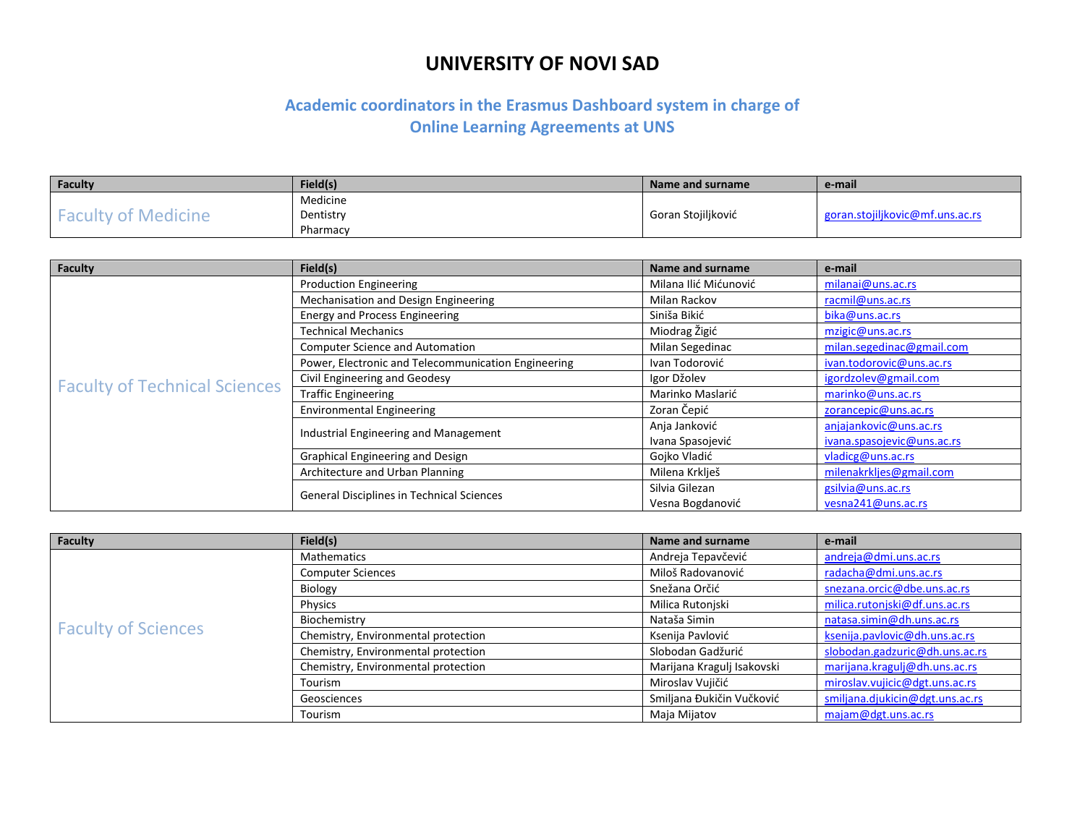| Faculty                    | Field(s)  | Name and surname   | e-mail                          |
|----------------------------|-----------|--------------------|---------------------------------|
|                            | Medicine  |                    |                                 |
| <b>Faculty of Medicine</b> | Dentistry | Goran Stojiljković | goran.stojiljkovic@mf.uns.ac.rs |
|                            | Pharmacy  |                    |                                 |

| <b>Faculty</b>                       | Field(s)                                            | Name and surname      | e-mail                     |
|--------------------------------------|-----------------------------------------------------|-----------------------|----------------------------|
|                                      | <b>Production Engineering</b>                       | Milana Ilić Mićunović | milanai@uns.ac.rs          |
|                                      | Mechanisation and Design Engineering                | Milan Rackov          | racmil@uns.ac.rs           |
|                                      | <b>Energy and Process Engineering</b>               | Siniša Bikić          | bika@uns.ac.rs             |
|                                      | <b>Technical Mechanics</b>                          | Miodrag Žigić         | mzigic@uns.ac.rs           |
|                                      | <b>Computer Science and Automation</b>              | Milan Segedinac       | milan.segedinac@gmail.com  |
|                                      | Power, Electronic and Telecommunication Engineering | Ivan Todorović        | ivan.todorovic@uns.ac.rs   |
| <b>Faculty of Technical Sciences</b> | Civil Engineering and Geodesy                       | Igor Džolev           | igordzolev@gmail.com       |
|                                      | <b>Traffic Engineering</b>                          | Marinko Maslarić      | marinko@uns.ac.rs          |
|                                      | <b>Environmental Engineering</b>                    | Zoran Čepić           | zorancepic@uns.ac.rs       |
|                                      | Industrial Engineering and Management               | Anja Janković         | anjajankovic@uns.ac.rs     |
|                                      |                                                     | Ivana Spasojević      | ivana.spasojevic@uns.ac.rs |
|                                      | Graphical Engineering and Design                    | Gojko Vladić          | vladicg@uns.ac.rs          |
|                                      | Architecture and Urban Planning                     | Milena Krklješ        | milenakrkljes@gmail.com    |
|                                      | <b>General Disciplines in Technical Sciences</b>    | Silvia Gilezan        | gsilvia@uns.ac.rs          |
|                                      |                                                     | Vesna Bogdanović      | vesna241@uns.ac.rs         |

| <b>Faculty</b>             | Field(s)                            | Name and surname           | e-mail                          |
|----------------------------|-------------------------------------|----------------------------|---------------------------------|
|                            | Mathematics                         | Andreja Tepavčević         | andreja@dmi.uns.ac.rs           |
|                            | <b>Computer Sciences</b>            | Miloš Radovanović          | radacha@dmi.uns.ac.rs           |
|                            | <b>Biology</b>                      | Snežana Orčić              | snezana.orcic@dbe.uns.ac.rs     |
|                            | Physics                             | Milica Rutonjski           | milica.rutonjski@df.uns.ac.rs   |
| <b>Faculty of Sciences</b> | Biochemistry                        | Nataša Simin               | natasa.simin@dh.uns.ac.rs       |
|                            | Chemistry, Environmental protection | Ksenija Pavlović           | ksenija.pavlovic@dh.uns.ac.rs   |
|                            | Chemistry, Environmental protection | Slobodan Gadžurić          | slobodan.gadzuric@dh.uns.ac.rs  |
|                            | Chemistry, Environmental protection | Marijana Kragulj Isakovski | marijana.kragulj@dh.uns.ac.rs   |
|                            | Tourism                             | Miroslav Vujičić           | miroslav.vujicic@dgt.uns.ac.rs  |
|                            | Geosciences                         | Smiljana Đukičin Vučković  | smiljana.djukicin@dgt.uns.ac.rs |
|                            | Tourism                             | Maja Mijatov               | majam@dgt.uns.ac.rs             |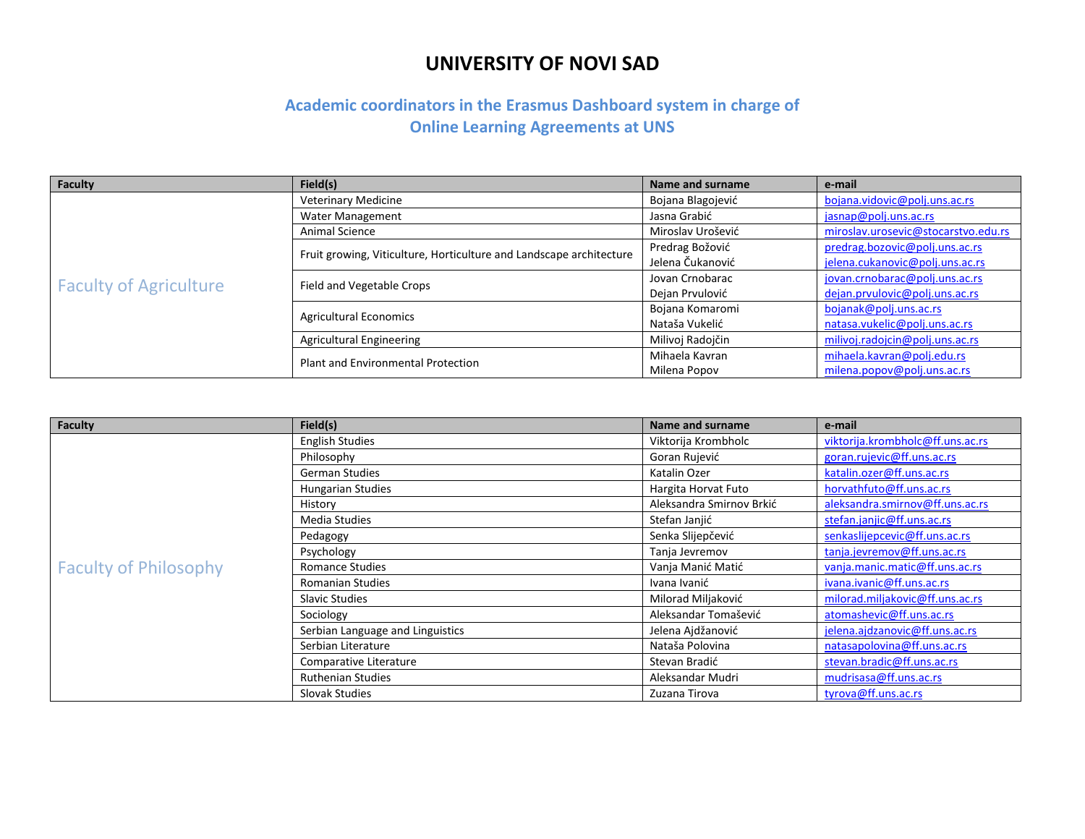| <b>Faculty</b>                | Field(s)                                                            | Name and surname  | e-mail                              |
|-------------------------------|---------------------------------------------------------------------|-------------------|-------------------------------------|
|                               | <b>Veterinary Medicine</b>                                          | Bojana Blagojević | bojana.vidovic@polj.uns.ac.rs       |
|                               | Water Management                                                    | Jasna Grabić      | jasnap@polj.uns.ac.rs               |
|                               | Animal Science                                                      | Miroslav Urošević | miroslav.urosevic@stocarstvo.edu.rs |
|                               | Fruit growing, Viticulture, Horticulture and Landscape architecture | Predrag Božović   | predrag.bozovic@polj.uns.ac.rs      |
|                               |                                                                     | Jelena Čukanović  | jelena.cukanovic@polj.uns.ac.rs     |
| <b>Faculty of Agriculture</b> |                                                                     | Jovan Crnobarac   | jovan.crnobarac@polj.uns.ac.rs      |
|                               | Field and Vegetable Crops                                           | Dejan Prvulović   | dejan.prvulovic@polj.uns.ac.rs      |
|                               | <b>Agricultural Economics</b>                                       | Bojana Komaromi   | bojanak@polj.uns.ac.rs              |
|                               |                                                                     | Nataša Vukelić    | natasa.vukelic@polj.uns.ac.rs       |
|                               | <b>Agricultural Engineering</b>                                     | Milivoj Radojčin  | milivoj.radojcin@polj.uns.ac.rs     |
|                               | Plant and Environmental Protection                                  | Mihaela Kavran    | mihaela.kavran@polj.edu.rs          |
|                               |                                                                     | Milena Popov      | milena.popov@polj.uns.ac.rs         |

| <b>Faculty</b>               | Field(s)                         | Name and surname         | e-mail                           |
|------------------------------|----------------------------------|--------------------------|----------------------------------|
|                              | <b>English Studies</b>           | Viktorija Krombholc      | viktorija.krombholc@ff.uns.ac.rs |
|                              | Philosophy                       | Goran Rujević            | goran.rujevic@ff.uns.ac.rs       |
|                              | <b>German Studies</b>            | Katalin Ozer             | katalin.ozer@ff.uns.ac.rs        |
|                              | <b>Hungarian Studies</b>         | Hargita Horvat Futo      | horvathfuto@ff.uns.ac.rs         |
|                              | History                          | Aleksandra Smirnov Brkić | aleksandra.smirnov@ff.uns.ac.rs  |
|                              | Media Studies                    | Stefan Janjić            | stefan.janjic@ff.uns.ac.rs       |
|                              | Pedagogy                         | Senka Slijepčević        | senkaslijepcevic@ff.uns.ac.rs    |
|                              | Psychology                       | Tanja Jevremov           | tanja.jevremov@ff.uns.ac.rs      |
| <b>Faculty of Philosophy</b> | <b>Romance Studies</b>           | Vanja Manić Matić        | vanja.manic.matic@ff.uns.ac.rs   |
|                              | <b>Romanian Studies</b>          | Ivana Ivanić             | ivana.ivanic@ff.uns.ac.rs        |
|                              | <b>Slavic Studies</b>            | Milorad Miljaković       | milorad.miljakovic@ff.uns.ac.rs  |
|                              | Sociology                        | Aleksandar Tomašević     | atomashevic@ff.uns.ac.rs         |
|                              | Serbian Language and Linguistics | Jelena Ajdžanović        | jelena.ajdzanovic@ff.uns.ac.rs   |
|                              | Serbian Literature               | Nataša Polovina          | natasapolovina@ff.uns.ac.rs      |
|                              | Comparative Literature           | Stevan Bradić            | stevan.bradic@ff.uns.ac.rs       |
|                              | <b>Ruthenian Studies</b>         | Aleksandar Mudri         | mudrisasa@ff.uns.ac.rs           |
|                              | Slovak Studies                   | Zuzana Tirova            | tyrova@ff.uns.ac.rs              |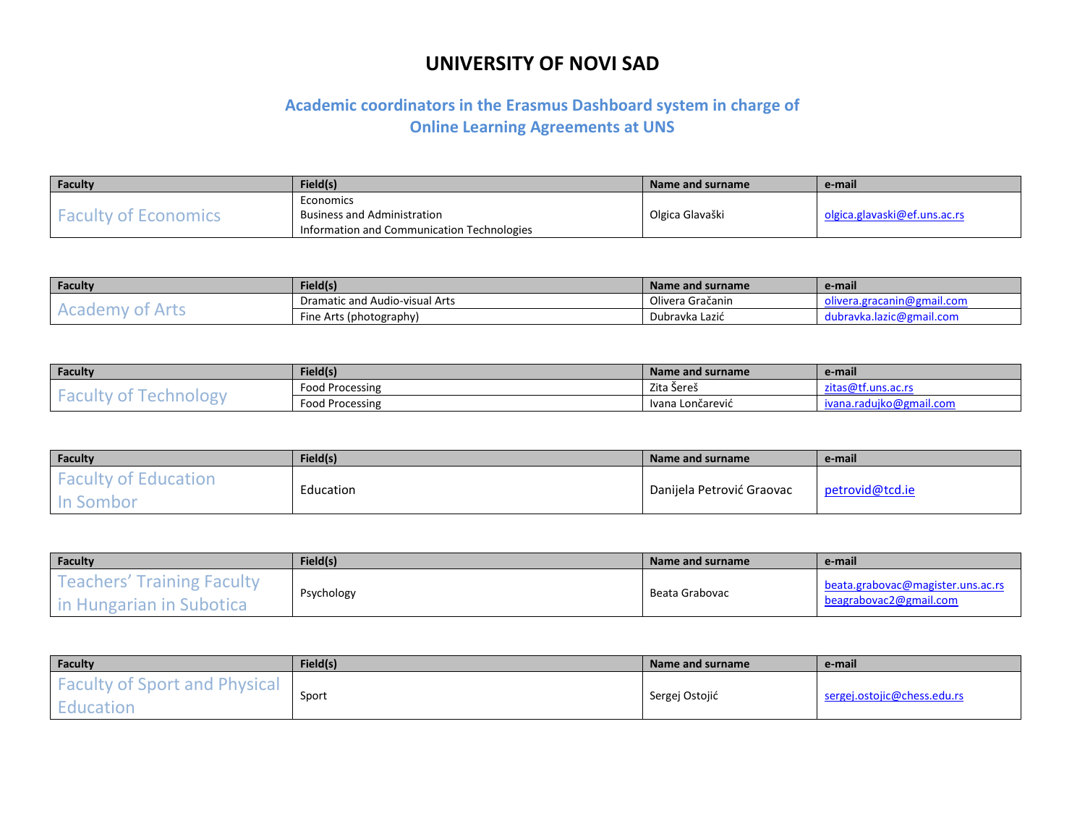| Faculty             | Field(s)                                   | Name and surname | e-mail                       |
|---------------------|--------------------------------------------|------------------|------------------------------|
|                     | Economics                                  |                  |                              |
| <b>SAMA OF HERE</b> | <b>Business and Administration</b>         | Olgica Glavaški  | olgica.glavaski@ef.uns.ac.rs |
|                     | Information and Communication Technologies |                  |                              |

| Faculty                             | Field(s)                              | Name and surname | e-mail                   |
|-------------------------------------|---------------------------------------|------------------|--------------------------|
| <b>Consultor</b><br>$\sim$ u $\sim$ | <b>Dramatic and Audio-visual Arts</b> | Olivera Gračanin | ail.com                  |
|                                     | Fine Arts (photography)               | Dubravka Lazić   | dubravka.lazic@gmail.com |

| Faculty                      | Field(s)        | Name and surname | e-mail                  |
|------------------------------|-----------------|------------------|-------------------------|
| ---<br>$\tilde{\phantom{a}}$ | Food Processing | Zita Sereš       | .<br>ີ່ີີ່              |
|                              | Food Processing | Ivana Lončarević | ึงgmail.com<br>$\cdots$ |

| Faculty                                                 | Field(s)  | Name and surname          | e-mail          |
|---------------------------------------------------------|-----------|---------------------------|-----------------|
| $\sim$<br><b>Faculty of E</b><br>Education<br>In Sombor | Education | Danijela Petrović Graovac | petrovid@tcd.ie |

| Faculty                                                               | Field(s)   | Name and surname | e-mail                                                      |
|-----------------------------------------------------------------------|------------|------------------|-------------------------------------------------------------|
| s' Training Faculty<br>reachers'<br>Subotica<br><b>Hungarian in !</b> | Psychology | Beata Grabovac   | beata.grabovac@magister.uns.ac.rs<br>beagrabovac2@gmail.com |

| Faculty                                           | Field(s) | Name and surname | e-mail                      |
|---------------------------------------------------|----------|------------------|-----------------------------|
| <b>Faculty of Sport and Physical</b><br>Education | Sport    | Sergej Ostojić   | sergej.ostojic@chess.edu.rs |